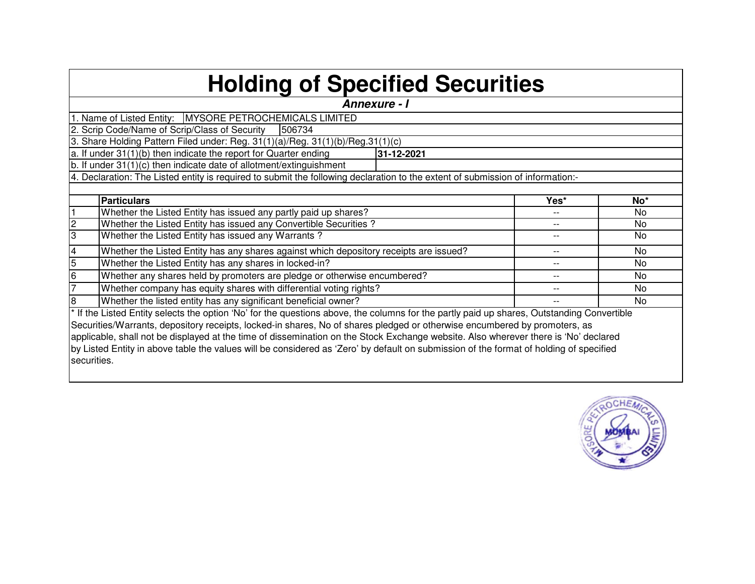## **Holding of Specified Securities**

|             | Annexure - I                                                                                                                               |       |                 |  |  |  |  |  |  |  |  |  |  |
|-------------|--------------------------------------------------------------------------------------------------------------------------------------------|-------|-----------------|--|--|--|--|--|--|--|--|--|--|
|             | 1. Name of Listed Entity:   MYSORE PETROCHEMICALS LIMITED                                                                                  |       |                 |  |  |  |  |  |  |  |  |  |  |
|             | 2. Scrip Code/Name of Scrip/Class of Security<br>506734                                                                                    |       |                 |  |  |  |  |  |  |  |  |  |  |
|             | 3. Share Holding Pattern Filed under: Reg. 31(1)(a)/Reg. 31(1)(b)/Reg. 31(1)(c)                                                            |       |                 |  |  |  |  |  |  |  |  |  |  |
|             | a. If under $31(1)(b)$ then indicate the report for Quarter ending<br>31-12-2021                                                           |       |                 |  |  |  |  |  |  |  |  |  |  |
|             | b. If under $31(1)(c)$ then indicate date of allotment/extinguishment                                                                      |       |                 |  |  |  |  |  |  |  |  |  |  |
|             | 4. Declaration: The Listed entity is required to submit the following declaration to the extent of submission of information:-             |       |                 |  |  |  |  |  |  |  |  |  |  |
|             |                                                                                                                                            |       |                 |  |  |  |  |  |  |  |  |  |  |
|             | <b>Particulars</b>                                                                                                                         | Yes*  | No <sup>*</sup> |  |  |  |  |  |  |  |  |  |  |
|             | Whether the Listed Entity has issued any partly paid up shares?                                                                            | $- -$ | No              |  |  |  |  |  |  |  |  |  |  |
|             | Whether the Listed Entity has issued any Convertible Securities?                                                                           | --    | No              |  |  |  |  |  |  |  |  |  |  |
| 3           | Whether the Listed Entity has issued any Warrants?                                                                                         | --    | No              |  |  |  |  |  |  |  |  |  |  |
| 4           | Whether the Listed Entity has any shares against which depository receipts are issued?                                                     | --    | No              |  |  |  |  |  |  |  |  |  |  |
| 5           | Whether the Listed Entity has any shares in locked-in?                                                                                     |       | No              |  |  |  |  |  |  |  |  |  |  |
| 6           | Whether any shares held by promoters are pledge or otherwise encumbered?                                                                   |       | No.             |  |  |  |  |  |  |  |  |  |  |
|             | Whether company has equity shares with differential voting rights?                                                                         |       | No.             |  |  |  |  |  |  |  |  |  |  |
| 8           | Whether the listed entity has any significant beneficial owner?                                                                            |       | No              |  |  |  |  |  |  |  |  |  |  |
|             | * If the Listed Entity selects the option 'No' for the questions above, the columns for the partly paid up shares, Outstanding Convertible |       |                 |  |  |  |  |  |  |  |  |  |  |
|             | Securities/Warrants, depository receipts, locked-in shares, No of shares pledged or otherwise encumbered by promoters, as                  |       |                 |  |  |  |  |  |  |  |  |  |  |
|             | applicable, shall not be displayed at the time of dissemination on the Stock Exchange website. Also wherever there is 'No' declared        |       |                 |  |  |  |  |  |  |  |  |  |  |
|             | by Listed Entity in above table the values will be considered as 'Zero' by default on submission of the format of holding of specified     |       |                 |  |  |  |  |  |  |  |  |  |  |
| securities. |                                                                                                                                            |       |                 |  |  |  |  |  |  |  |  |  |  |
|             |                                                                                                                                            |       |                 |  |  |  |  |  |  |  |  |  |  |

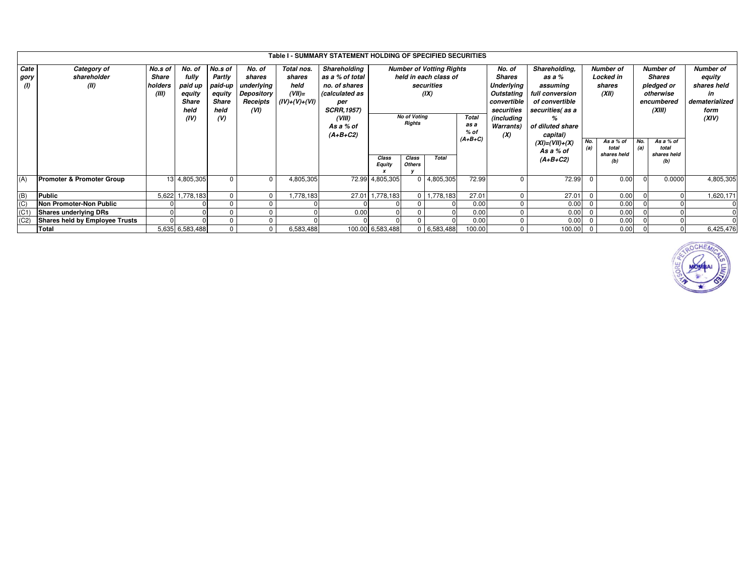|                           |                                      |              |                 |              |              |                 | Table I - SUMMARY STATEMENT HOLDING OF SPECIFIED SECURITIES |                                 |                        |               |                   |                   |                          |                         |                    |               |                    |                  |
|---------------------------|--------------------------------------|--------------|-----------------|--------------|--------------|-----------------|-------------------------------------------------------------|---------------------------------|------------------------|---------------|-------------------|-------------------|--------------------------|-------------------------|--------------------|---------------|--------------------|------------------|
| Cate                      | Category of                          | No.s of      | No. of          | No.s of      | No. of       | Total nos.      | Shareholding                                                | <b>Number of Votting Rights</b> |                        |               |                   | No. of            | Shareholding,            |                         | <b>Number of</b>   |               | <b>Number of</b>   | <b>Number of</b> |
| gory                      | shareholder                          | <b>Share</b> | fully           | Partly       | shares       | shares          | as a % of total                                             | held in each class of           |                        |               |                   | <b>Shares</b>     | as a %                   |                         | <b>Locked in</b>   | <b>Shares</b> |                    | equity           |
| (1)                       | (II)                                 | holders      | paid up         | paid-up      | underlying   | held            | no, of shares                                               | securities                      |                        |               |                   | <b>Underlying</b> | assuming                 |                         | shares             |               | pledged or         | shares held      |
|                           |                                      | (III)        | equity          | equity       | Depository   | $(VII)=$        | calculated as                                               |                                 | (IX)<br>Outstating     |               |                   |                   | (XII)<br>full conversion |                         |                    |               | otherwise          | in               |
|                           |                                      |              | <b>Share</b>    | <b>Share</b> | Receipts     | $(IV)+(V)+(VI)$ | per                                                         |                                 |                        |               |                   | convertible       | of convertible           |                         |                    |               | encumbered         | dematerialized   |
|                           |                                      |              | held            | held         | (VI)         |                 | <b>SCRR, 1957)</b>                                          |                                 |                        |               |                   | securities        | securities as a          |                         |                    | (XIII)        |                    | form             |
|                           |                                      |              | (IV)            | (V)          |              |                 | (VIII)                                                      | <b>No of Voting</b>             |                        | <b>Total</b>  | (including        |                   |                          |                         |                    |               | (XIV)              |                  |
|                           |                                      |              |                 |              |              |                 | As a % of                                                   | <b>Rights</b>                   |                        |               | as a              | Warrants)         | of diluted share         |                         |                    |               |                    |                  |
|                           |                                      |              |                 |              |              |                 | (A+B+C2)                                                    |                                 |                        |               | % of<br>$(A+B+C)$ | (X)               | capital)                 |                         |                    |               |                    |                  |
|                           |                                      |              |                 |              |              |                 |                                                             |                                 |                        |               |                   |                   | $(XI) = (VII) + (X)$     | No.<br>(a)              | As a % of<br>total | No.<br>(a)    | As a % of<br>total |                  |
|                           |                                      |              |                 |              |              |                 |                                                             |                                 |                        |               |                   |                   | As a % of                |                         | shares held        |               | shares held        |                  |
|                           |                                      |              |                 |              |              |                 |                                                             | Class<br><b>Equity</b>          | Class<br><b>Others</b> | <b>Total</b>  |                   |                   | $(A+B+C2)$               |                         |                    |               | (b)                |                  |
|                           |                                      |              |                 |              |              |                 |                                                             |                                 |                        |               |                   |                   |                          |                         |                    |               |                    |                  |
| (A)                       | <b>Promoter &amp; Promoter Group</b> |              | 13 4,805,305    |              | $\mathbf{0}$ | 4,805,305       |                                                             | 72.99 4,805,305                 |                        | 0 4,805,305   | 72.99             |                   | 72.99                    | $\Omega$                | 0.00               |               | 0.0000             | 4,805,305        |
|                           |                                      |              |                 |              |              |                 |                                                             |                                 |                        |               |                   |                   |                          |                         |                    |               |                    |                  |
| (B)                       | Public                               | 5,622        | 1,778,183       |              | $\mathbf 0$  | ,778,183        | 27.01                                                       | 1,778,183                       | 0 I                    | 1,778,183     | 27.01             | $\mathbf 0$       | 27.01                    |                         | 0.00               |               |                    | 1,620,171        |
| $\overline{(\mathsf{C})}$ | Non Promoter-Non Public              |              |                 |              |              |                 |                                                             |                                 |                        |               | 0.00              | $\Omega$          | 0.00                     |                         | 0.00               |               |                    |                  |
| (C <sub>1</sub> )         | <b>Shares underlying DRs</b>         |              |                 |              |              |                 | 0.00                                                        |                                 |                        |               | 0.00              | $\Omega$          | 0.00                     |                         | 0.00               |               |                    |                  |
| (C2)                      | Shares held by Employee Trusts       |              |                 |              |              |                 |                                                             |                                 |                        |               | 0.00              | $\Omega$          | 0.00                     |                         | 0.00               |               |                    |                  |
|                           | <b>Total</b>                         |              | 5,635 6,583,488 |              | $\mathbf 0$  | 6,583,488       |                                                             | 100.00 6,583,488                |                        | $0$ 6,583,488 | 100.00            | $\mathbf 0$       | 100.00                   | $\overline{\mathbf{0}}$ | 0.00               |               |                    | 6,425,476        |

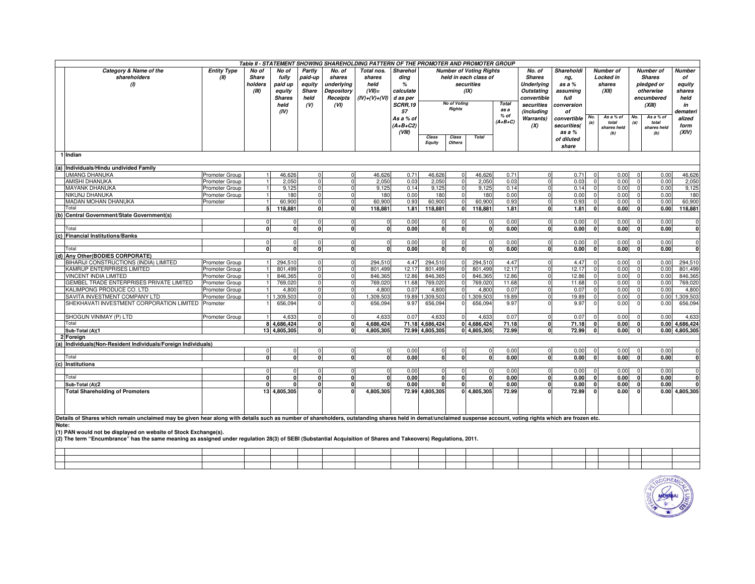| Table II - STATEMENT SHOWING SHAREHOLDING PATTERN OF THE PROMOTER AND PROMOTER GROUP |                                                                                                                                                                                                                |                    |              |               |              |                         |                 |                |                                |                     |                |              |                   |             |                |             |                |               |                |
|--------------------------------------------------------------------------------------|----------------------------------------------------------------------------------------------------------------------------------------------------------------------------------------------------------------|--------------------|--------------|---------------|--------------|-------------------------|-----------------|----------------|--------------------------------|---------------------|----------------|--------------|-------------------|-------------|----------------|-------------|----------------|---------------|----------------|
|                                                                                      | Category & Name of the                                                                                                                                                                                         | <b>Entity Type</b> | No of        | No of         | Partly       | No. of                  | Total nos.      | Sharehol       | <b>Number of Voting Rights</b> |                     |                |              | No. of            | Shareholdi  | Number of      |             |                | Number of     | Number         |
|                                                                                      | shareholders                                                                                                                                                                                                   | (II)               | Share        | fully         | paid-up      | shares                  | shares          | ding           | held in each class of          |                     |                |              | <b>Shares</b>     | ng,         |                | Locked in   |                | <b>Shares</b> | of             |
|                                                                                      | (1)                                                                                                                                                                                                            |                    | holders      | paid up       | equity       | underlying              | held            | %              |                                |                     | securities     |              | Underlying        | as a %      |                | shares      |                | pledged or    | equity         |
|                                                                                      |                                                                                                                                                                                                                |                    | (III)        | equity        | Share        | Depository              | $(VII)$ =       | calculate      | (IX)                           |                     |                |              | <b>Outstating</b> | assuming    |                | (XII)       |                | otherwise     | shares         |
|                                                                                      |                                                                                                                                                                                                                |                    |              | <b>Shares</b> | held         | Receipts                | $(IV)+(V)+(VI)$ | d as per       |                                |                     |                | convertible  | full              |             |                |             | encumbered     | held          |                |
|                                                                                      |                                                                                                                                                                                                                |                    |              | held          | (V)          | (VI)                    |                 | <b>SCRR.19</b> |                                | <b>No of Voting</b> |                | <b>Total</b> | securities        | conversion  |                |             |                | (XIII)        | in             |
|                                                                                      |                                                                                                                                                                                                                |                    |              | (IV)          |              |                         |                 | 57             |                                | Rights              |                | as a         | (including        | οf          |                |             |                |               | demateri       |
|                                                                                      |                                                                                                                                                                                                                |                    |              |               |              |                         |                 | As a % of      |                                |                     |                | % of         | Warrants)         | convertible | No.            | As a % of   | No.            | As a % of     | alized         |
|                                                                                      |                                                                                                                                                                                                                |                    |              |               |              |                         |                 | $(A+B+C2)$     |                                |                     |                | $(A+B+C)$    | (X)               | securities( | (a)            | total       | (a)            | total         | form           |
|                                                                                      |                                                                                                                                                                                                                |                    |              |               |              |                         |                 | (VIII)         |                                |                     |                |              |                   | as a %      |                | shares held |                | shares held   | (XIV)          |
|                                                                                      |                                                                                                                                                                                                                |                    |              |               |              |                         |                 |                | Class                          | Class               | <b>Total</b>   |              |                   | of diluted  |                | (b)         |                | (b)           |                |
|                                                                                      |                                                                                                                                                                                                                |                    |              |               |              |                         |                 |                | <b>Equity</b>                  | Others              |                |              |                   | share       |                |             |                |               |                |
|                                                                                      | 1 Indian                                                                                                                                                                                                       |                    |              |               |              |                         |                 |                |                                |                     |                |              |                   |             |                |             |                |               |                |
|                                                                                      |                                                                                                                                                                                                                |                    |              |               |              |                         |                 |                |                                |                     |                |              |                   |             |                |             |                |               |                |
| (a)                                                                                  | Individuals/Hindu undivided Family                                                                                                                                                                             |                    |              |               |              |                         |                 |                |                                |                     |                |              |                   |             |                |             |                |               |                |
|                                                                                      | <b>JMANG DHANUKA</b>                                                                                                                                                                                           | Promoter Group     |              | 46,626        | $\Omega$     | $\overline{0}$          | 46,626          | 0.71           | 46,626                         | $\mathbf 0$         | 46,626         | 0.71         | $\Omega$          | 0.71        | $\mathbf{0}$   | 0.00        | $\mathbf{0}$   | 0.00          | 46,626         |
|                                                                                      | AMISHI DHANUKA                                                                                                                                                                                                 | Promoter Group     |              | 2,050         |              | $\Omega$                | 2,050           | 0.03           | 2,050                          | $\Omega$            | 2,050          | 0.03         | $\Omega$          | 0.03        | $\mathbf 0$    | 0.00        | $\mathbf 0$    | 0.00          | 2,050          |
|                                                                                      | MAYANK DHANUKA                                                                                                                                                                                                 | Promoter Group     |              | 9,125         | $\Omega$     | $\overline{0}$          | 9,125           | 0.14           | 9,125                          | $\mathbf 0$         | 9,125          | 0.14         | $\Omega$          | 0.14        | $\mathbf{0}$   | 0.00        | $\mathbf{0}$   | 0.00          | 9,125          |
|                                                                                      | NIKUNJ DHANUKA                                                                                                                                                                                                 | Promoter Group     |              | 180           |              | $\Omega$                | 180             | 0.00           | 180                            | $\Omega$            | 180            | 0.00         | $\Omega$          | 0.00        | $\mathbf 0$    | 0.00        | $\Omega$       | 0.00          | 180            |
|                                                                                      | MADAN MOHAN DHANUKA                                                                                                                                                                                            | Promoter           |              | 60,900        | $\Omega$     | $\mathbf{0}$            | 60,900          | 0.93           | 60.900                         | $\mathbf 0$         | 60,900         | 0.93         | $\overline{0}$    | 0.93        | $\overline{0}$ | 0.00        | $\mathbf{0}$   | 0.00          | 60,900         |
|                                                                                      | Гоtal                                                                                                                                                                                                          |                    | 5            | 118,881       | 0            | $\overline{\mathbf{0}}$ | 118,881         | 1.81           | 118,881                        | $\overline{0}$      | 118,881        | 1.81         | $\mathbf{0}$      | 1.81        | $\mathbf{0}$   | 0.00        | $\mathbf{0}$   | 0.00          | 118,881        |
|                                                                                      | Central Government/State Government(s)                                                                                                                                                                         |                    |              |               |              |                         |                 |                |                                |                     |                |              |                   |             |                |             |                |               |                |
|                                                                                      |                                                                                                                                                                                                                |                    |              |               |              | $\Omega$                | $\mathbf 0$     | 0.00           | $\Omega$                       |                     | $\mathbf{0}$   | 0.00         | $\Omega$          | 0.00        | $\Omega$       | 0.00        | $\Omega$       | 0.00          | $\mathsf{C}$   |
|                                                                                      | Total                                                                                                                                                                                                          |                    |              | 0             | O            | $\mathbf{0}$            | $\Omega$        | 0.00           | 0                              |                     | 0              | 0.00         | 0                 | 0.00        | $\mathbf{0}$   | 0.00        | 0              | 0.00          | $\mathbf 0$    |
|                                                                                      | <b>Financial Institutions/Banks</b>                                                                                                                                                                            |                    |              |               |              |                         |                 |                |                                |                     |                |              |                   |             |                |             |                |               |                |
|                                                                                      |                                                                                                                                                                                                                |                    |              | n١            | $\Omega$     | $\Omega$                | $\mathbf 0$     | 0.00           | $\Omega$                       | $\Omega$            | $\mathbf 0$    | 0.00         | $\overline{0}$    | 0.00        | $\mathbf{0}$   | 0.00        | $\Omega$       | 0.00          | $\Omega$       |
|                                                                                      | Total                                                                                                                                                                                                          |                    | 0            | 0             | 0            | $\mathbf{0}$            | $\mathbf{0}$    | 0.00           | 0                              | 0                   | $\mathbf{0}$   | 0.00         | 0                 | 0.00        | $\mathbf{0}$   | 0.00        | $\mathbf{0}$   | 0.00          | 0              |
| (d)                                                                                  | Any Other(BODIES CORPORATE)                                                                                                                                                                                    |                    |              |               |              |                         |                 |                |                                |                     |                |              |                   |             |                |             |                |               |                |
|                                                                                      | BIHARIJI CONSTRUCTIONS (INDIA) LIMITED                                                                                                                                                                         | Promoter Group     | 11           | 294,510       | $\Omega$     | $\mathbf 0$             | 294,510         | 4.47           | 294,510                        | $\mathbf{0}$        | 294,510        | 4.47         | $\mathbf 0$       | 4.47        | $\mathbf 0$    | 0.00        | $\Omega$       | 0.00          | 294,510        |
|                                                                                      | KAMRUP ENTERPRISES LIMITED                                                                                                                                                                                     | Promoter Group     |              | 801,499       | $\Omega$     | $\Omega$                | 801,499         | 12.17          | 801,499                        | $\Omega$            | 801,499        | 12.17        | $\Omega$          | 12.17       | $\Omega$       | 0.00        | $\mathbf{0}$   | 0.00          | 801,499        |
|                                                                                      | VINCENT INDIA LIMITED                                                                                                                                                                                          | Promoter Group     |              | 846,365       | $\Omega$     | $\overline{0}$          | 846,365         | 12.86          | 846,365                        | $\Omega$            | 846,365        | 12.86        | $\mathbf{0}$      | 12.86       | $\Omega$       | 0.00        | $\overline{0}$ | 0.00          | 846,365        |
|                                                                                      | <b>GEMBEL TRADE ENTERPRISES PRIVATE LIMITED</b>                                                                                                                                                                | Promoter Group     |              | 769,020       |              | $\Omega$                | 769,020         | 11.68          | 769,020                        |                     | 769,020        | 11.68        |                   | 11.68       | $\Omega$       | 0.00        | $\Omega$       | 0.00          | 769,020        |
|                                                                                      | KALIMPONG PRODUCE CO. LTD.                                                                                                                                                                                     | Promoter Group     |              | 4,800         | $\Omega$     | $\overline{0}$          | 4,800           | 0.07           | 4,800                          | $\Omega$            | 4,800          | 0.07         | $\Omega$          | 0.07        | $\mathbf{0}$   | 0.00        | $\overline{0}$ | 0.00          | 4,800          |
|                                                                                      | SAVITA INVESTMENT COMPANY LTD                                                                                                                                                                                  | Promoter Group     |              | 1 1,309,503   | $\Omega$     | $\mathbf 0$             | 1,309,503       | 19.89          | ,309,503                       | 0 <sup>1</sup> 1    | ,309,503       | 19.89        |                   | 19.89       | $\Omega$       | 0.00        | $\Omega$       | 0.00          | 1,309,503      |
|                                                                                      | SHEKHAVATI INVESTMENT CORPORATION LIMITED                                                                                                                                                                      | Promoter           |              | 656,094       |              | $\Omega$                | 656,094         | 9.97           | 656,094                        |                     | 656,094        | 9.97         |                   | 9.97        | $\Omega$       | 0.00        | $\Omega$       | 0.00          | 656,094        |
|                                                                                      |                                                                                                                                                                                                                |                    |              |               |              |                         |                 |                |                                |                     |                |              |                   |             |                |             |                |               |                |
|                                                                                      | SHOGUN VINIMAY (P) LTD                                                                                                                                                                                         | Promoter Group     |              | 4,633         | c            | $\Omega$                | 4.633           | 0.07           | 4,633                          | $\Omega$            | 4,633          | 0.07         | $\Omega$          | 0.07        | $\Omega$       | 0.00        | $\Omega$       | 0.00          | 4,633          |
|                                                                                      | Total                                                                                                                                                                                                          |                    |              | 8 4,686,424   | $\mathbf{0}$ | $\overline{0}$          | 4,686,424       |                | 71.18 4,686,424                |                     | 0 4,686,424    | 71.18        | $\mathbf{0}$      | 71.18       | $\mathbf{0}$   | 0.00        | $\mathbf 0$    |               | 0.00 4,686,424 |
|                                                                                      | Sub-Total (A)(1                                                                                                                                                                                                |                    |              | 13 4,805,305  | $\Omega$     | <sup>0</sup>            | 4.805.305       |                | 72.99 4.805.305                |                     | 0 4.805.305    | 72.99        | $\Omega$          | 72.99       | 0              | 0.00        | 0              |               | 0.00 4.805.305 |
|                                                                                      | Foreign                                                                                                                                                                                                        |                    |              |               |              |                         |                 |                |                                |                     |                |              |                   |             |                |             |                |               |                |
| (a)                                                                                  | ndividuals(Non-Resident Individuals/Foreign Individuals)                                                                                                                                                       |                    |              |               |              |                         |                 |                |                                |                     |                |              |                   |             |                |             |                |               |                |
|                                                                                      | Total                                                                                                                                                                                                          |                    | n            |               |              |                         | $\Omega$        | 0.00           |                                |                     | $\Omega$       | 0.00         | $\Omega$          | 0.00        | $\mathbf 0$    | 0.00        | $\Omega$       | 0.00          |                |
|                                                                                      |                                                                                                                                                                                                                |                    |              | 0l            | $\Omega$     | $\mathbf{0}$            | $\mathbf{0}$    | 0.00           | 0                              | $\mathbf{0}$        | 0              | 0.00         | 0                 | 0.00        | $\mathbf{0}$   | 0.00        | $\mathbf{0}$   | 0.00          | $\Omega$       |
| (c)                                                                                  | Institutions                                                                                                                                                                                                   |                    |              |               |              |                         |                 |                |                                |                     |                |              |                   |             |                |             |                |               |                |
|                                                                                      |                                                                                                                                                                                                                |                    |              | $\Omega$      | $\Omega$     | $\Omega$                | $\mathbf 0$     | 0.00           | $\Omega$                       | $\Omega$            | $\overline{0}$ | 0.00         | $\Omega$          | 0.00        | $\Omega$       | 0.00        | $\Omega$       | 0.00          | $\Omega$       |
|                                                                                      | Total                                                                                                                                                                                                          |                    | <sup>0</sup> | οI            | 0            | $\mathbf{0}$            | $\mathbf{0}$    | 0.00           | 0                              | 0                   | 0              | 0.00         | 0                 | 0.00        | $\mathbf{0}$   | 0.00        | 0              | 0.00          | $\mathbf 0$    |
|                                                                                      | Sub-Total (A)(2                                                                                                                                                                                                |                    |              |               | $\Omega$     | $\mathbf{0}$            |                 | 0.00           | <sup>o</sup>                   |                     | $\Omega$       | 0.00         | $\mathbf{0}$      | 0.00        | $\mathbf{0}$   | 0.00        | 0              | 0.00          |                |
|                                                                                      | <b>Total Shareholding of Promoters</b>                                                                                                                                                                         |                    |              | 13 4,805,305  |              | $\Omega$                | 4,805,305       |                | 72.99 4,805,305                |                     | 0 4,805,305    | 72.99        |                   | 72.99       | $\mathbf{0}$   | 0.00        | 0              |               | 0.00 4,805,305 |
|                                                                                      |                                                                                                                                                                                                                |                    |              |               |              |                         |                 |                |                                |                     |                |              |                   |             |                |             |                |               |                |
|                                                                                      |                                                                                                                                                                                                                |                    |              |               |              |                         |                 |                |                                |                     |                |              |                   |             |                |             |                |               |                |
|                                                                                      |                                                                                                                                                                                                                |                    |              |               |              |                         |                 |                |                                |                     |                |              |                   |             |                |             |                |               |                |
|                                                                                      | Details of Shares which remain unclaimed may be given hear along with details such as number of shareholders, outstanding shares held in demat/unclaimed suspense account, voting rights which are frozen etc. |                    |              |               |              |                         |                 |                |                                |                     |                |              |                   |             |                |             |                |               |                |
| Note:                                                                                |                                                                                                                                                                                                                |                    |              |               |              |                         |                 |                |                                |                     |                |              |                   |             |                |             |                |               |                |
|                                                                                      | (1) PAN would not be displayed on website of Stock Exchange(s).                                                                                                                                                |                    |              |               |              |                         |                 |                |                                |                     |                |              |                   |             |                |             |                |               |                |
|                                                                                      | (2) The term "Encumbrance" has the same meaning as assigned under regulation 28(3) of SEBI (Substantial Acquisition of Shares and Takeovers) Regulations, 2011.                                                |                    |              |               |              |                         |                 |                |                                |                     |                |              |                   |             |                |             |                |               |                |
|                                                                                      |                                                                                                                                                                                                                |                    |              |               |              |                         |                 |                |                                |                     |                |              |                   |             |                |             |                |               |                |
|                                                                                      |                                                                                                                                                                                                                |                    |              |               |              |                         |                 |                |                                |                     |                |              |                   |             |                |             |                |               |                |
|                                                                                      |                                                                                                                                                                                                                |                    |              |               |              |                         |                 |                |                                |                     |                |              |                   |             |                |             |                |               |                |
|                                                                                      |                                                                                                                                                                                                                |                    |              |               |              |                         |                 |                |                                |                     |                |              |                   |             |                |             |                |               |                |

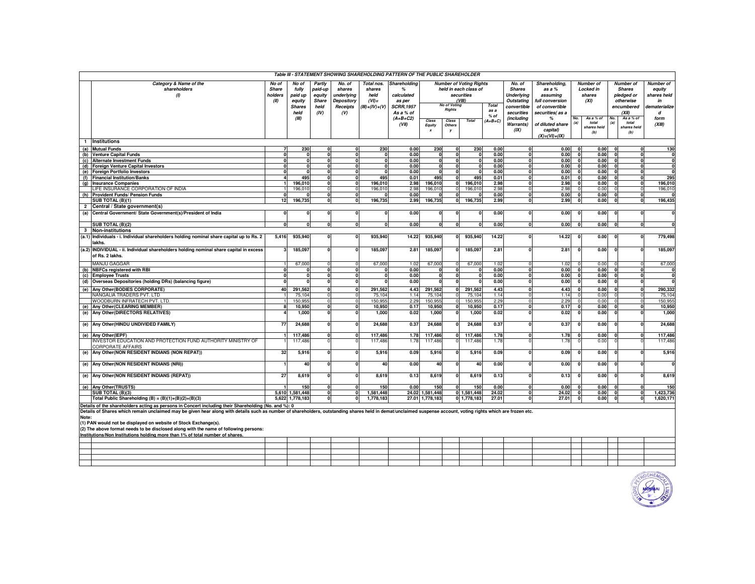| Table III - STATEMENT SHOWING SHAREHOLDING PATTERN OF THE PUBLIC SHAREHOLDER |                                                                                                                                                                                                                |                 |                   |                          |             |                              |                         |                   |                                        |                                |              |                              |                       |                  |                  |                      |                              |                         |
|------------------------------------------------------------------------------|----------------------------------------------------------------------------------------------------------------------------------------------------------------------------------------------------------------|-----------------|-------------------|--------------------------|-------------|------------------------------|-------------------------|-------------------|----------------------------------------|--------------------------------|--------------|------------------------------|-----------------------|------------------|------------------|----------------------|------------------------------|-------------------------|
|                                                                              | Category & Name of the                                                                                                                                                                                         | No of           | No of             | Partly                   | No. of      | Total nos.                   | Shareholding            |                   |                                        | <b>Number of Voting Rights</b> |              | No. of                       | Shareholding,         |                  | <b>Number</b> of |                      | <b>Number</b> of             | Number of               |
|                                                                              | shareholders                                                                                                                                                                                                   | Share           | fully             | paid-up                  | shares      | shares                       | %                       |                   | held in each class of<br><b>Shares</b> |                                |              |                              | as a %                | <b>Locked in</b> |                  | <b>Shares</b>        |                              | equity                  |
|                                                                              | $\omega$                                                                                                                                                                                                       | holders         | paid up           | equity                   | underlying  | held                         | calculated              | securities        |                                        |                                |              | <b>Underlying</b>            | assuming              |                  | shares           |                      | pledged or                   | shares held             |
|                                                                              |                                                                                                                                                                                                                | (II)            | equity            | Share                    | Depository  | $(VI)$ =                     | as per                  |                   | <b>No of Voting</b>                    | VIII                           | <b>Total</b> | <b>Outstating</b>            | full conversion       |                  | (XI)             |                      | otherwise                    | in                      |
|                                                                              |                                                                                                                                                                                                                |                 | <b>Shares</b>     | held                     | Receipts    | $(III)+(IV)+(V)$             | <b>SCRR, 1957</b>       |                   | <b>Rights</b>                          |                                | as a         | convertible                  | of convertible        |                  |                  |                      | encumbered                   | dematerialize           |
|                                                                              |                                                                                                                                                                                                                |                 | held<br>(III)     | (IV)                     | (V)         |                              | As a % of<br>$(A+B+C2)$ |                   |                                        |                                | $%$ of       | securities<br>(including     | securities( as a<br>% | No.              | As a % of        | No.                  | (XII)<br>As a % of           | d<br>form               |
|                                                                              |                                                                                                                                                                                                                |                 |                   |                          |             |                              | (VII)                   | Class             | Class                                  | <b>Total</b>                   | $(A+B+C)$    | Warrants)                    | of diluted share      | (a)              | total            | (a)                  | total                        | (XIII)                  |
|                                                                              |                                                                                                                                                                                                                |                 |                   |                          |             |                              |                         | Equity            | Others<br>v                            |                                |              | (IX)                         | capital)              |                  | shares held      |                      | shares held                  |                         |
|                                                                              |                                                                                                                                                                                                                |                 |                   |                          |             |                              |                         |                   |                                        |                                |              |                              | $(X) = (VI) + (IX)$   |                  | (b)              |                      | (b)                          |                         |
| $\mathbf{1}$                                                                 | <b>Institutions</b>                                                                                                                                                                                            |                 |                   |                          |             |                              |                         |                   |                                        |                                |              |                              |                       |                  |                  |                      |                              |                         |
|                                                                              | (a) Mutual Funds                                                                                                                                                                                               |                 | 230               | $\Omega$                 | n           | 230                          | 0.00                    | 230               | n                                      | 230                            | 0.00         | $\Omega$                     | 0.00                  | $\Omega$         | 0.00             | $\Omega$             | $\Omega$                     | 130                     |
| (b)                                                                          | <b>Venture Capital Funds</b>                                                                                                                                                                                   |                 | $\Omega$          | $\mathbf{0}$             |             | $\Omega$                     | 0.00                    | O                 | $\mathbf{0}$                           | $\Omega$                       | 0.00         | $\mathbf{0}$                 | 0.00                  |                  | 0.00             | $\Omega$             | $\mathbf{0}$                 | 0                       |
| (c)                                                                          | <b>Alternate Investment Funds</b>                                                                                                                                                                              |                 | $\Omega$          | $\mathbf{0}$             | $\Omega$    | <sup>0</sup>                 | 0.00                    | $\Omega$          | n                                      | $\Omega$                       | 0.00         | $\mathbf{0}$                 | 0.00                  |                  | 0.00             | $\Omega$             | $\mathbf{0}$                 | $\mathbf 0$             |
| (d)                                                                          | <b>Foreign Venture Capital Investors</b><br>(e) Foreign Portfolio Investors                                                                                                                                    |                 | $\mathbf{0}$      | $\Omega$<br>$\Omega$     | U<br>0      | $\mathbf{0}$<br>$\mathbf{0}$ | 0.00<br>0.00            | n                 | nl<br>$\Omega$                         |                                | 0.00<br>0.00 | $\mathbf{0}$<br>$\mathbf{0}$ | 0.00<br>0.00          |                  | 0.00<br>0.00     | $\Omega$<br>$\Omega$ | $\mathbf{0}$<br>$\mathbf{0}$ | 0<br>$\mathbf 0$        |
|                                                                              | (f) Financial Institution/Banks                                                                                                                                                                                |                 | 495               | $\mathbf{0}$             | $\Omega$    | 495                          | 0.01                    | 495               | n١                                     | 495                            | 0.01         | $\Omega$                     | 0.01                  |                  | 0.00             | $\sqrt{2}$           | $\mathbf{0}$                 | 295                     |
| (q)                                                                          | <b>Insurance Companies</b>                                                                                                                                                                                     |                 | 196.010           | $\mathbf{0}$             |             | 196.010                      | 2.98                    | 196,010           | $\mathbf{0}$                           | 196.010                        | 2.98         | $\mathbf{0}$                 | 2.98                  |                  | 0.00             | $\Omega$             | $\overline{0}$               | 196.010                 |
|                                                                              | LIFE INSURANCE CORPORATION OF INDIA                                                                                                                                                                            |                 | 196,010           | $\Omega$                 |             | 196,010                      | 2.98                    | 196,010           | $\Omega$                               | 196,010                        | 2.98         | $\mathbf 0$                  | 2.98                  |                  | 0.00             |                      | 0                            | 196,010                 |
| (h)                                                                          | <b>Provident Funds/ Pension Funds</b>                                                                                                                                                                          | n               |                   | $\Omega$                 | $\Omega$    | $\mathbf{0}$                 | 0.00                    |                   | n                                      |                                | 0.00         | $\mathbf{0}$                 | 0.00                  |                  | 0.00             | $\Omega$             | $\mathbf{0}$                 | $\bf{0}$                |
|                                                                              | SUB TOTAL (B)(1)                                                                                                                                                                                               | 12 <sup>1</sup> | 196,735           | $\mathbf{0}$             |             | 196,735                      | 2.99                    | 196,735           | 0l                                     | 196,735                        | 2.99         | $\overline{0}$               | 2.99                  |                  | 0.00             |                      | $\overline{0}$               | 196,435                 |
| $\overline{2}$                                                               | Central / State government(s)                                                                                                                                                                                  |                 |                   |                          |             |                              |                         |                   |                                        |                                |              |                              |                       |                  |                  |                      |                              |                         |
| (a)                                                                          | Central Government/ State Government(s)/President of India                                                                                                                                                     |                 |                   | $\mathbf{0}$             |             | 0                            | 0.00                    |                   |                                        |                                | 0.00         | $\overline{0}$               | 0.00                  |                  | 0.00             |                      | 0                            | $\Omega$                |
|                                                                              | SUB TOTAL (B)(2)                                                                                                                                                                                               | $\bf{0}$        | 0                 | $\mathbf{0}$             | $\mathbf 0$ | $\mathbf{0}$                 | 0.00                    | n                 | 0                                      | $\Omega$                       | 0.00         | $\mathbf{0}$                 | 0.00                  |                  | 0.00             | $\Omega$             | $\mathbf{0}$                 | $\bf{0}$                |
| 3                                                                            | <b>Non-institutions</b>                                                                                                                                                                                        |                 |                   |                          |             |                              |                         |                   |                                        |                                |              |                              |                       |                  |                  |                      |                              |                         |
| (a.1)                                                                        | Individuals - i. Individual shareholders holding nominal share capital up to Rs. 2                                                                                                                             | 5,416           | 935,940           | $\mathbf{0}$             |             | 935,940                      | 14.22                   | 935,940           | $\mathbf{0}$                           | 935,940                        | 14.22        | $\Omega$                     | 14.22                 |                  | 0.00             |                      | $\Omega$                     | 779.498                 |
|                                                                              | lakhs.                                                                                                                                                                                                         |                 |                   |                          |             |                              |                         |                   |                                        |                                |              |                              |                       |                  |                  |                      |                              |                         |
|                                                                              | (a.2) INDIVIDUAL - ii. Individual shareholders holding nominal share capital in excess<br>of Rs. 2 lakhs.                                                                                                      |                 | 185,097           |                          |             | 185,097                      | 2.81                    | 185,097           | n                                      | 185,097                        | 2.81         |                              | 2.81                  |                  | 0.00             |                      |                              | 185,097                 |
|                                                                              |                                                                                                                                                                                                                |                 |                   |                          |             |                              |                         |                   |                                        |                                |              |                              |                       |                  |                  |                      |                              |                         |
|                                                                              | MANJU GAGGAR                                                                                                                                                                                                   |                 | 67,000            |                          |             | 67,000                       | 1.02                    | 67,000            |                                        | 67,000                         | 1.02         | $\Omega$<br>$\Omega$         | 1.02                  |                  | 0.00             | $\Omega$             | $\Omega$                     | 67,000                  |
| (b)                                                                          | <b>NBFCs registered with RBI</b><br>(c) Employee Trusts                                                                                                                                                        |                 | $\Omega$          | $\Omega$<br>$\mathbf{0}$ |             | n<br>0                       | 0.00<br>0.00            |                   | 0                                      |                                | 0.00<br>0.00 | $\mathbf{0}$                 | 0.00<br>0.00          |                  | 0.00<br>0.00     |                      | $\mathbf{0}$<br>$\mathbf{0}$ | $\Omega$<br>0           |
| (d)                                                                          | Overseas Depositories (holding DRs) (balancing figure)                                                                                                                                                         |                 |                   |                          |             | n                            | 0.00                    |                   | n                                      |                                | 0.00         | $\Omega$                     | 0.00                  |                  | 0.00             |                      | 0                            | $\overline{\mathbf{0}}$ |
|                                                                              |                                                                                                                                                                                                                |                 |                   |                          |             |                              |                         |                   |                                        |                                |              |                              |                       |                  |                  |                      |                              |                         |
|                                                                              | (e) Any Other (BODIES CORPORATE)                                                                                                                                                                               | 40              | 291.562           |                          |             | 291.562                      | 4.43                    | 291,562           |                                        | 291.562                        | 4.43         | $\Omega$                     | 4.43                  |                  | 0.00             |                      | $\Omega$                     | 290.332                 |
|                                                                              | NANGALIA TRADERS PVT. LTD<br>WOODBURN INFRATECH PVT. LTD.                                                                                                                                                      |                 | 75,104<br>150.955 |                          |             | 75,104<br>150,955            | 1.14<br>2.29            | 75,104<br>150,955 | $\Omega$                               | 75,104<br>150.955              | 1.14<br>2.29 | $\Omega$                     | 1.14<br>2.29          |                  | 0.00<br>0.00     |                      | $\Omega$                     | 75,104<br>150.955       |
| (e)                                                                          | Any Other (CLEARING MEMBER)                                                                                                                                                                                    |                 | 10,950            | $\Omega$                 | $\Omega$    | 10,950                       | 0.17                    | 10,950            | n                                      | 10,950                         | 0.17         | $\mathbf{0}$                 | 0.17                  |                  | 0.00             | $\Omega$             | $\mathbf 0$                  | 10,950                  |
|                                                                              | (e) Any Other (DIRECTORS RELATIVES)                                                                                                                                                                            |                 | 1.000             |                          |             | 1.000                        | 0.02                    | 1,000             | n                                      | 1,000                          | 0.02         | $\Omega$                     | 0.02                  |                  | 0.00             | $\Omega$             | 0                            | 1.000                   |
|                                                                              |                                                                                                                                                                                                                |                 |                   |                          |             |                              |                         |                   |                                        |                                |              |                              |                       |                  |                  |                      |                              |                         |
|                                                                              | (e) Any Other (HINDU UNDIVIDED FAMILY)                                                                                                                                                                         | $\overline{7}$  | 24,688            |                          |             | 24,688                       | 0.37                    | 24,688            |                                        | 24,688                         | 0.37         |                              | 0.37                  |                  | 0.00             |                      |                              | 24,688                  |
|                                                                              | (e) Any Other(IEPF)                                                                                                                                                                                            |                 | 117.486           | $\mathbf{0}$             |             | 117,486                      | 1.78                    | 117,486           | 0                                      | 117,486                        | 1.78         | $\mathbf{0}$                 | 1.78                  |                  | 0.00             |                      | $\Omega$                     | 117.486                 |
|                                                                              | INVESTOR EDUCATION AND PROTECTION FUND AUTHORITY MINISTRY OF<br>CORPORATE AFFAIRS                                                                                                                              |                 | 117,486           |                          |             | 117,486                      | 1.78                    | 117,486           |                                        | 117,486                        | 1.78         |                              | 1.78                  |                  | 0.00             |                      |                              | 117,486                 |
| (e)                                                                          | Any Other (NON RESIDENT INDIANS (NON REPAT))                                                                                                                                                                   | 32              | 5,916             |                          |             | 5,916                        | 0.09                    | 5,916             | n                                      | 5,916                          | 0.09         | $\Omega$                     | 0.09                  |                  | 0.00             | c                    | $\Omega$                     | 5,916                   |
|                                                                              | (e) Any Other (NON RESIDENT INDIANS (NRI))                                                                                                                                                                     |                 | 40                |                          |             | 40                           | 0.00                    | 40                |                                        | 40                             | 0.00         |                              | 0.00                  |                  | 0.00             |                      | $\Omega$                     | $\mathbf 0$             |
|                                                                              |                                                                                                                                                                                                                |                 |                   |                          |             |                              |                         |                   |                                        |                                |              |                              |                       |                  |                  |                      |                              |                         |
|                                                                              | (e) Any Other (NON RESIDENT INDIANS (REPAT))                                                                                                                                                                   | 27              | 8.619             | $\Omega$                 |             | 8,619                        | 0.13                    | 8,619             | $\Omega$                               | 8,619                          | 0.13         | n                            | 0.13                  |                  | 0.00             |                      | $\Omega$                     | 8,619                   |
|                                                                              | (e) Any Other (TRUSTS)                                                                                                                                                                                         |                 | 150               | $\Omega$                 |             | 150                          | 0.00                    | 150               | n                                      | 150                            | 0.00         | $\Omega$                     | 0.00                  |                  | 0.00             | $\Omega$             | $\Omega$                     | 150                     |
|                                                                              | SUB TOTAL (B)(3)                                                                                                                                                                                               |                 | 5,610 1,581,448   | $\mathbf{0}$             |             | 1,581,448                    |                         | 24.02 1,581,448   |                                        | 0 1,581,448                    | 24.02        | $\mathbf{0}$                 | 24.02                 |                  | 0.00             | $\Omega$             | $\mathbf{0}$                 | 1,423,736               |
|                                                                              | Total Public Shareholding (B) = $(B)(1)+(B)(2)+(B)(3)$                                                                                                                                                         | 5,622           | 1,778,183         | $\mathbf{0}$             |             | 1,778,183                    |                         | 27.01 1,778,183   |                                        | 0 1,778,183                    | 27.01        | $\Omega$                     | 27.01                 |                  | 0.00             |                      |                              | 1,620,171               |
|                                                                              | Details of the shareholders acting as persons in Concert including their Shareholding (No. and %): 0                                                                                                           |                 |                   |                          |             |                              |                         |                   |                                        |                                |              |                              |                       |                  |                  |                      |                              |                         |
|                                                                              | Details of Shares which remain unclaimed may be given hear along with details such as number of shareholders, outstanding shares held in demat/unclaimed suspense account, voting rights which are frozen etc. |                 |                   |                          |             |                              |                         |                   |                                        |                                |              |                              |                       |                  |                  |                      |                              |                         |
| Note:                                                                        |                                                                                                                                                                                                                |                 |                   |                          |             |                              |                         |                   |                                        |                                |              |                              |                       |                  |                  |                      |                              |                         |
|                                                                              | (1) PAN would not be displayed on website of Stock Exchange(s).                                                                                                                                                |                 |                   |                          |             |                              |                         |                   |                                        |                                |              |                              |                       |                  |                  |                      |                              |                         |
|                                                                              | (2) The above format needs to be disclosed along with the name of following persons:<br>Institutions/Non Institutions holding more than 1% of total number of shares.                                          |                 |                   |                          |             |                              |                         |                   |                                        |                                |              |                              |                       |                  |                  |                      |                              |                         |
|                                                                              |                                                                                                                                                                                                                |                 |                   |                          |             |                              |                         |                   |                                        |                                |              |                              |                       |                  |                  |                      |                              |                         |



┯

 $\sim$ J

 $\mathbf{1}$ 

П

 $\mathbf{I}$